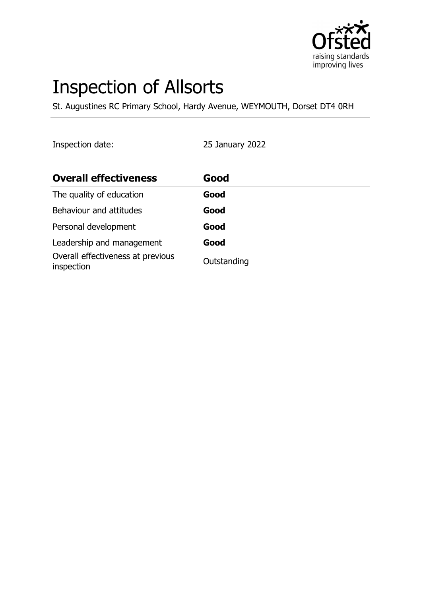

# Inspection of Allsorts

St. Augustines RC Primary School, Hardy Avenue, WEYMOUTH, Dorset DT4 0RH

Inspection date: 25 January 2022

| <b>Overall effectiveness</b>                    | Good        |
|-------------------------------------------------|-------------|
| The quality of education                        | Good        |
| Behaviour and attitudes                         | Good        |
| Personal development                            | Good        |
| Leadership and management                       | Good        |
| Overall effectiveness at previous<br>inspection | Outstanding |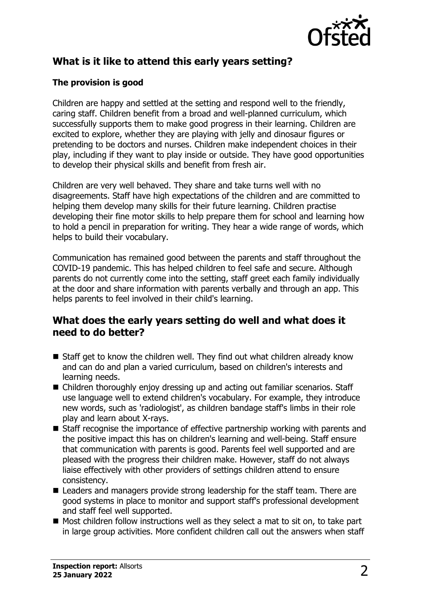

## **What is it like to attend this early years setting?**

#### **The provision is good**

Children are happy and settled at the setting and respond well to the friendly, caring staff. Children benefit from a broad and well-planned curriculum, which successfully supports them to make good progress in their learning. Children are excited to explore, whether they are playing with jelly and dinosaur figures or pretending to be doctors and nurses. Children make independent choices in their play, including if they want to play inside or outside. They have good opportunities to develop their physical skills and benefit from fresh air.

Children are very well behaved. They share and take turns well with no disagreements. Staff have high expectations of the children and are committed to helping them develop many skills for their future learning. Children practise developing their fine motor skills to help prepare them for school and learning how to hold a pencil in preparation for writing. They hear a wide range of words, which helps to build their vocabulary.

Communication has remained good between the parents and staff throughout the COVID-19 pandemic. This has helped children to feel safe and secure. Although parents do not currently come into the setting, staff greet each family individually at the door and share information with parents verbally and through an app. This helps parents to feel involved in their child's learning.

## **What does the early years setting do well and what does it need to do better?**

- $\blacksquare$  Staff get to know the children well. They find out what children already know and can do and plan a varied curriculum, based on children's interests and learning needs.
- $\blacksquare$  Children thoroughly enjoy dressing up and acting out familiar scenarios. Staff use language well to extend children's vocabulary. For example, they introduce new words, such as 'radiologist', as children bandage staff's limbs in their role play and learn about X-rays.
- $\blacksquare$  Staff recognise the importance of effective partnership working with parents and the positive impact this has on children's learning and well-being. Staff ensure that communication with parents is good. Parents feel well supported and are pleased with the progress their children make. However, staff do not always liaise effectively with other providers of settings children attend to ensure consistency.
- $\blacksquare$  Leaders and managers provide strong leadership for the staff team. There are good systems in place to monitor and support staff's professional development and staff feel well supported.
- $\blacksquare$  Most children follow instructions well as they select a mat to sit on, to take part in large group activities. More confident children call out the answers when staff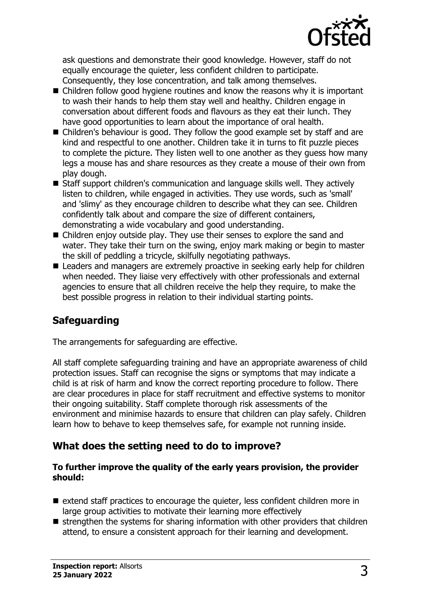

ask questions and demonstrate their good knowledge. However, staff do not equally encourage the quieter, less confident children to participate. Consequently, they lose concentration, and talk among themselves.

- $\blacksquare$  Children follow good hygiene routines and know the reasons why it is important to wash their hands to help them stay well and healthy. Children engage in conversation about different foods and flavours as they eat their lunch. They have good opportunities to learn about the importance of oral health.
- $\blacksquare$  Children's behaviour is good. They follow the good example set by staff and are kind and respectful to one another. Children take it in turns to fit puzzle pieces to complete the picture. They listen well to one another as they guess how many legs a mouse has and share resources as they create a mouse of their own from play dough.
- $\blacksquare$  Staff support children's communication and language skills well. They actively listen to children, while engaged in activities. They use words, such as 'small' and 'slimy' as they encourage children to describe what they can see. Children confidently talk about and compare the size of different containers, demonstrating a wide vocabulary and good understanding.
- $\blacksquare$  Children enjoy outside play. They use their senses to explore the sand and water. They take their turn on the swing, enjoy mark making or begin to master the skill of peddling a tricycle, skilfully negotiating pathways.
- Leaders and managers are extremely proactive in seeking early help for children when needed. They liaise very effectively with other professionals and external agencies to ensure that all children receive the help they require, to make the best possible progress in relation to their individual starting points.

# **Safeguarding**

The arrangements for safeguarding are effective.

All staff complete safeguarding training and have an appropriate awareness of child protection issues. Staff can recognise the signs or symptoms that may indicate a child is at risk of harm and know the correct reporting procedure to follow. There are clear procedures in place for staff recruitment and effective systems to monitor their ongoing suitability. Staff complete thorough risk assessments of the environment and minimise hazards to ensure that children can play safely. Children learn how to behave to keep themselves safe, for example not running inside.

## **What does the setting need to do to improve?**

#### **To further improve the quality of the early years provision, the provider should:**

- $\blacksquare$  extend staff practices to encourage the quieter, less confident children more in large group activities to motivate their learning more effectively
- $\blacksquare$  strengthen the systems for sharing information with other providers that children attend, to ensure a consistent approach for their learning and development.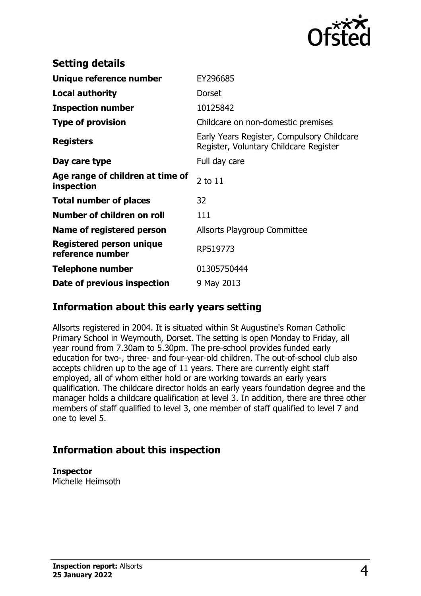

| <b>Setting details</b>                         |                                                                                      |
|------------------------------------------------|--------------------------------------------------------------------------------------|
| Unique reference number                        | EY296685                                                                             |
| <b>Local authority</b>                         | <b>Dorset</b>                                                                        |
| <b>Inspection number</b>                       | 10125842                                                                             |
| <b>Type of provision</b>                       | Childcare on non-domestic premises                                                   |
| <b>Registers</b>                               | Early Years Register, Compulsory Childcare<br>Register, Voluntary Childcare Register |
| Day care type                                  | Full day care                                                                        |
| Age range of children at time of<br>inspection | 2 to 11                                                                              |
| <b>Total number of places</b>                  | 32                                                                                   |
| Number of children on roll                     | 111                                                                                  |
| Name of registered person                      | Allsorts Playgroup Committee                                                         |
| Registered person unique<br>reference number   | RP519773                                                                             |
| Telephone number                               | 01305750444                                                                          |
| Date of previous inspection                    | 9 May 2013                                                                           |

## **Information about this early years setting**

Allsorts registered in 2004. It is situated within St Augustine's Roman Catholic Primary School in Weymouth, Dorset. The setting is open Monday to Friday, all year round from 7.30am to 5.30pm. The pre-school provides funded early education for two-, three- and four-year-old children. The out-of-school club also accepts children up to the age of 11 years. There are currently eight staff employed, all of whom either hold or are working towards an early years qualification. The childcare director holds an early years foundation degree and the manager holds a childcare qualification at level 3. In addition, there are three other members of staff qualified to level 3, one member of staff qualified to level 7 and one to level 5.

## **Information about this inspection**

**Inspector** Michelle Heimsoth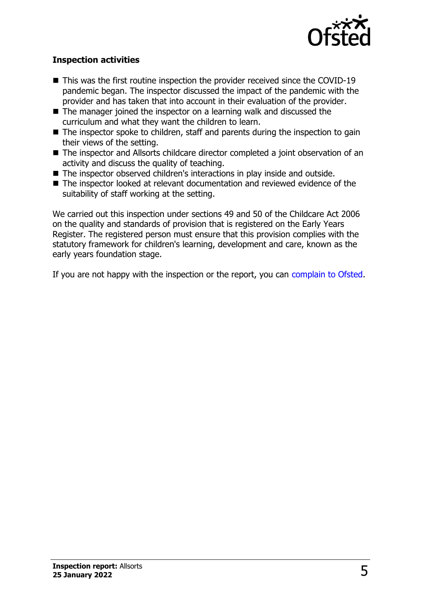

#### **Inspection activities**

- $\blacksquare$  This was the first routine inspection the provider received since the COVID-19 pandemic began. The inspector discussed the impact of the pandemic with the provider and has taken that into account in their evaluation of the provider.
- $\blacksquare$  The manager joined the inspector on a learning walk and discussed the curriculum and what they want the children to learn.
- $\blacksquare$  The inspector spoke to children, staff and parents during the inspection to gain their views of the setting.
- The inspector and Allsorts childcare director completed a joint observation of an activity and discuss the quality of teaching.
- The inspector observed children's interactions in play inside and outside.
- The inspector looked at relevant documentation and reviewed evidence of the suitability of staff working at the setting.

We carried out this inspection under sections 49 and 50 of the Childcare Act 2006 on the quality and standards of provision that is registered on the Early Years Register. The registered person must ensure that this provision complies with the statutory framework for children's learning, development and care, known as the early years foundation stage.

If you are not happy with the inspection or the report, you can [complain to Ofsted](http://www.gov.uk/complain-ofsted-report).